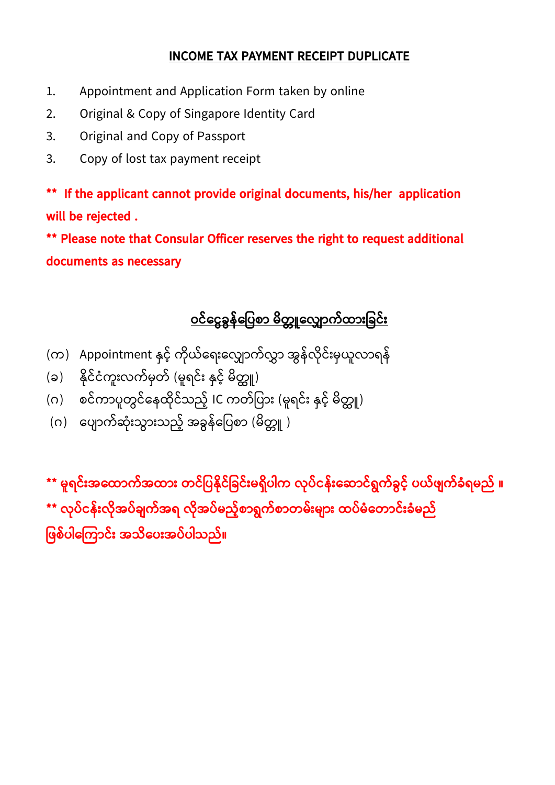## **INCOME TAX PAYMENT RECEIPT DUPLICATE**

- 1. Appointment and Application Form taken by online
- 2. Original & Copy of Singapore Identity Card
- 3. Original and Copy of Passport
- 3. Copy of lost tax payment receipt

**\*\* If the applicant cannot provide original documents, his/her application will be rejected .** 

**\*\* Please note that Consular Officer reserves the right to request additional documents as necessary**

## <u>ဝင်ငွေခွန်ပြေစာ မိတ္တူလျှောက်ထားခြင်း</u>

- (က) Appointment နှင့် ကိုယ်ရေးလျှောက်လွှာ အွန်လိုင်းမှယူလာရန်
- (ခ) နိုင်ငံကူးလက်မှတ် (မူရင်း နှင့် မိတ္တူ)
- (ဂ) စင်ကာပူတွင်နေထိုင်သည့် IC ကတ်ပြား (မူရင်း နှင့် မိတ္တူ)
- (ဂ) ၂ ပျောက်ဆုံးသွားသည့် အခွန်ပြေစာ (မိတ္တူ )

**\*\* မ ူရင ်ားအငထာက်အထာား တ္င ် ြေနိိုင် ခင ်ားမရ ိြေါက ိုြေ ်ငန်ားင ာင ်ရွက်ခွေင့်် ြေယ်ဖျက်ခံရမည် ။ \*\* ိုြေ ်ငန်ား ိိုအြေ ်ချက်အရ ိိုအြေ ်မည့််စာရွက်စာတ္မ်ားမျာား ထြေ ်မ ံငတ္ာင ်ားခံမည်** ဖြစ်ပါကြောင်း အသိပေးအပ်ပါသည်။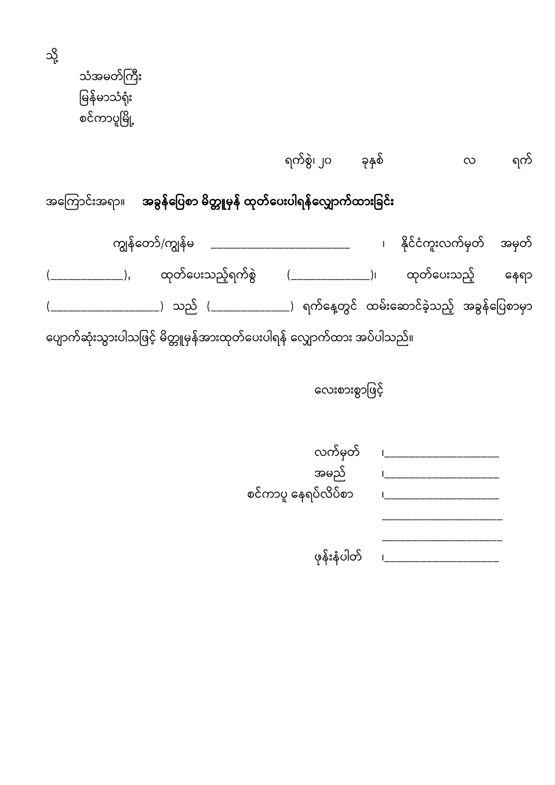သံအမတ်ကြီး မြန်မာသံရုံး စင်ကာပူမြို့

သို့

ရက်စွဲ၊ ၂၀ ခုနှစ် ရက်  $\infty$ 

အကြောင်းအရာ။ <mark>အခွန်ပြေစာ မိတ္တူမှန် ထုတ်ပေးပါရန်လျှောက်ထားခြင်း</mark>

ကျွန်တော်/ကျွန်မ \_\_\_\_\_\_\_\_\_\_\_\_\_\_\_\_\_\_\_\_\_\_\_\_\_ ၊ နိုင်ငံကူးလက်မှတ် အမှတ် ထုတ်ပေးသည့်ရက်စွဲ (\_\_\_\_\_\_\_\_\_\_\_\_\_\_)၊ ထုတ်ပေးသည့်  $(\underline{\hspace{1cm}})$ နေရာ \_\_\_\_\_\_\_\_\_\_\_\_\_\_\_\_\_\_\_) သည် (\_\_\_\_\_\_\_\_\_\_\_\_\_\_\_) ရက်နေ့တွင် ထမ်းဆောင်ခဲ့သည့် အခွန်ပြေစာမှာ ပျောက်ဆုံးသွားပါသဖြင့် မိတ္တူမှန်အားထုတ်ပေးပါရန် လျှောက်ထား အပ်ပါသည်။

လေးစားစွာဖြင့်

| လက်မှတ်             |  |
|---------------------|--|
| အမည်                |  |
| စင်ကာပူ နေရပ်လိပ်စာ |  |
|                     |  |
|                     |  |
| ဖုန်းနံပါတ်         |  |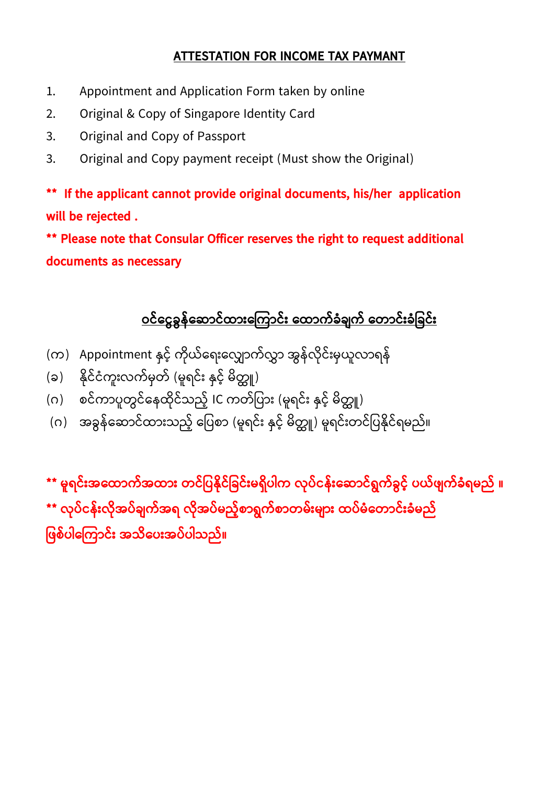## **ATTESTATION FOR INCOME TAX PAYMANT**

- 1. Appointment and Application Form taken by online
- 2. Original & Copy of Singapore Identity Card
- 3. Original and Copy of Passport
- 3. Original and Copy payment receipt (Must show the Original)

**\*\* If the applicant cannot provide original documents, his/her application will be rejected .** 

**\*\* Please note that Consular Officer reserves the right to request additional documents as necessary** 

## <u>ဝင်ငွေခွန်ဆောင်ထားကြောင်း ထောက်ခံချက် တောင်းခံခြင်း</u>

- (က) Appointment နှင့် ကိုယ်ရေးလျှောက်လွှာ အွန်လိုင်းမှယူလာရန်
- (ခ) နိုင်ငံကူးလက်မှတ် (မူရင်း နှင့် မိတ္တူ)
- (ဂ) စင်ကာပူတွင်နေထိုင်သည့် IC ကတ်ပြား (မူရင်း နှင့် မိတ္တူ)
- (ဂ) အခွန်ဆောင်ထားသည့် ပြေစာ (မူရင်း နှင့် မိတ္တူ) မူရင်းတင်ပြနိုင်ရမည်။

**\*\* မ ူရင ်ားအငထာက်အထာား တ္င ် ြေနိိုင် ခင ်ားမရ ိြေါက ိုြေ ်ငန်ားင ာင ်ရွက်ခွေင့်် ြေယ်ဖျက်ခံရမည် ။ \*\* ိုြေ ်ငန်ား ိိုအြေ ်ချက်အရ ိိုအြေ ်မည့််စာရွက်စာတ္မ်ားမျာား ထြေ ်မ ံငတ္ာင ်ားခံမည်** ဖြစ်ပါကြောင်း အသိပေးအပ်ပါသည်။